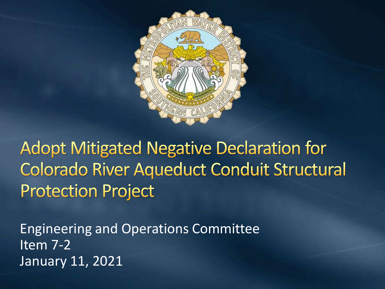

**Adopt Mitigated Negative Declaration for Colorado River Aqueduct Conduit Structural Protection Project** 

Engineering and Operations Committee  $\overline{\text{Item }7\text{-}2}$ January 11, 2021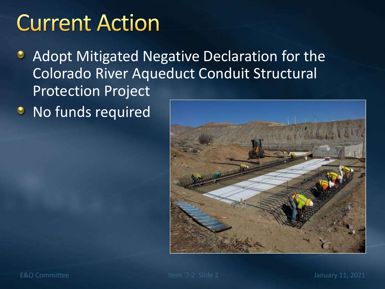### **Current Action**

- Adopt Mitigated Negative Declaration for the ۰ Colorado River Aqueduct Conduit Structural Protection Project
- **•** No funds required



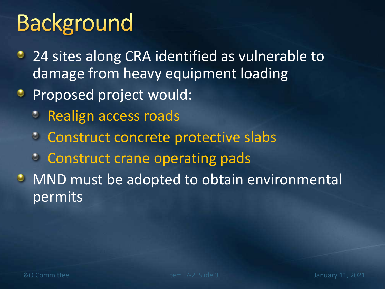# **Background**

- 24 sites along CRA identified as vulnerable to damage from heavy equipment loading
- **Proposed project would:** 
	- *C* Realign access roads
	- **Construct concrete protective slabs**
	- **Construct crane operating pads**
- **MND must be adopted to obtain environmental** permits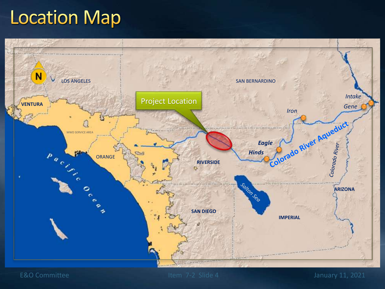### **Location Map**



E&O Committee Internal Committee Internal Committee Item 7-2 Slide 4 January 11, 2021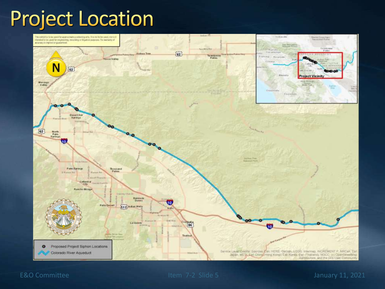### **Project Location**



#### E&O Committee Item 7-2 Slide 5 January 11, 2021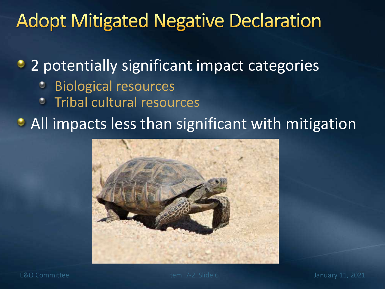#### **Adopt Mitigated Negative Declaration**

• 2 potentially significant impact categories

- Biological resources
- Tribal cultural resources

• All impacts less than significant with mitigation

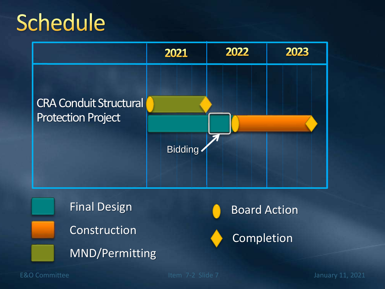## Schedule









E&O Committee Internal Committee Internal Committee Internal Committee Internal Committee Internal Committee Internal Committee Internal Committee Internal Committee Internal Committee Internal Committee Internal Committee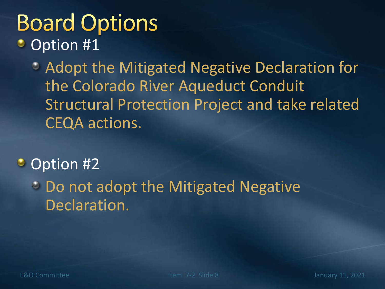#### **Board Options** Option #1 ٥

Adopt the Mitigated Negative Declaration for the Colorado River Aqueduct Conduit Structural Protection Project and take related CEQA actions.

#### $\bullet$ Option #2

**Do not adopt the Mitigated Negative** Declaration.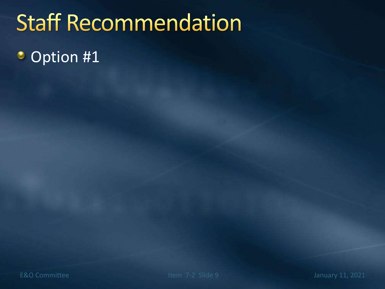## **Staff Recommendation**

#### Option #1۰